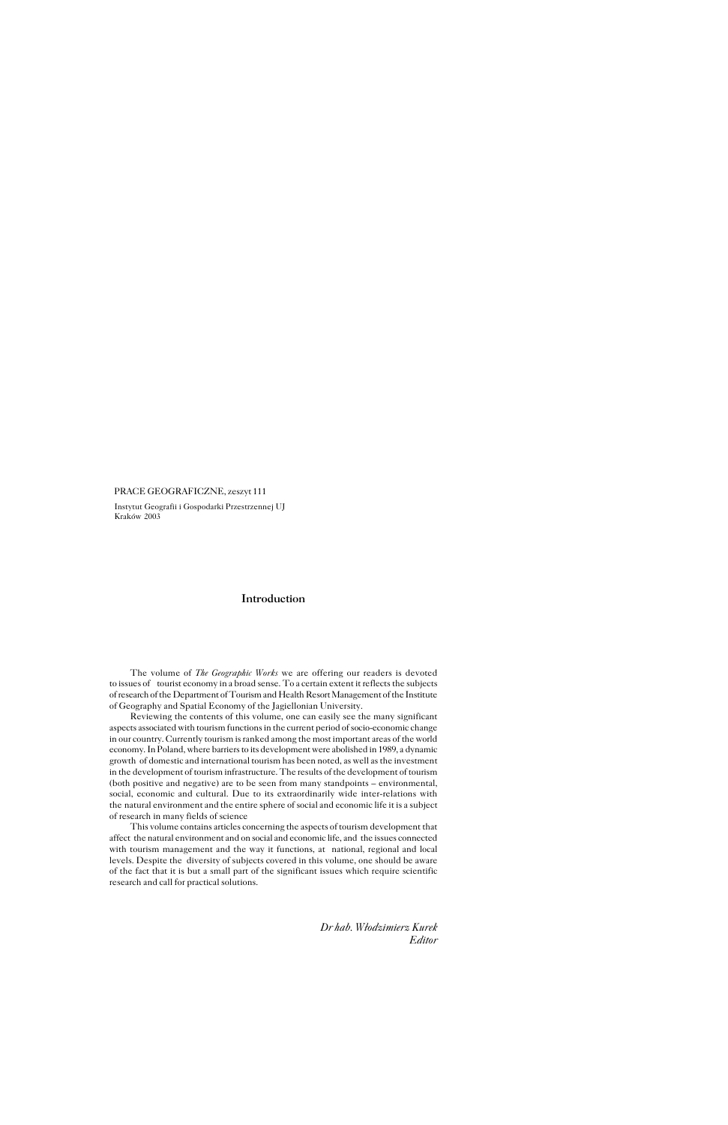The volume of *The Geographic Works* we are offering our readers is devoted to issues of tourist economy in a broad sense. To a certain extent it reflects the subjects of research of the Department of Tourism and Health Resort Management of the Institute of Geography and Spatial Economy of the Jagiellonian University.

Reviewing the contents of this volume, one can easily see the many significant aspects associated with tourism functions in the current period of socio−economic change in our country. Currently tourism is ranked among the most important areas of the world economy. In Poland, where barriers to its development were abolished in 1989, a dynamic growth of domestic and international tourism has been noted, as well as the investment in the development of tourism infrastructure. The results of the development of tourism (both positive and negative) are to be seen from many standpoints – environmental, social, economic and cultural. Due to its extraordinarily wide inter−relations with the natural environment and the entire sphere of social and economic life it is a subject of research in many fields of science

This volume contains articles concerning the aspects of tourism development that affect the natural environment and on social and economic life, and the issues connected with tourism management and the way it functions, at national, regional and local levels. Despite the diversity of subjects covered in this volume, one should be aware of the fact that it is but a small part of the significant issues which require scientific research and call for practical solutions.

> *Dr hab. Włodzimierz Kurek Editor*

PRACE GEOGRAFICZNE, zeszyt 111

Instytut Geografii i Gospodarki Przestrzennej UJ Kraków 2003

## **Introduction**